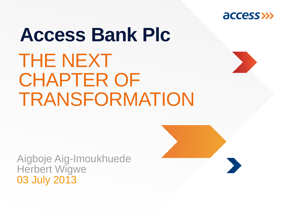

## THE NEXT CHAPTER OF **TRANSFORMATION Access Bank Plc**

Aigboje Aig-Imoukhuede Herbert Wigwe 03 July 2013

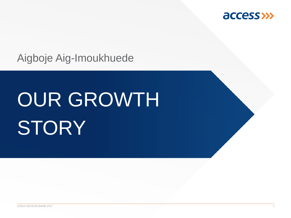

Aigboje Aig-Imoukhuede

## OUR GROWTH **STORY**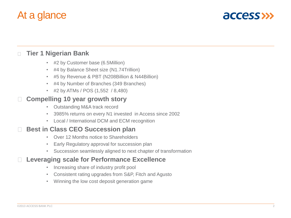### At a glance



### **Tier 1 Nigerian Bank**  $\Box$

- #2 by Customer base (6.5Million)
- #4 by Balance Sheet size (N1.74Trillion)
- #5 by Revenue & PBT (N208Billion & N44Billion)
- #4 by Number of Branches (349 Branches)
- #2 by ATMs / POS (1,552 / 8,480)

#### **Compelling 10 year growth story** П

- Outstanding M&A track record
- 3985% returns on every N1 invested in Access since 2002
- Local / International DCM and ECM recognition

### **Best in Class CEO Succession plan**

- Over 12 Months notice to Shareholders
- Early Regulatory approval for succession plan
- Succession seamlessly aligned to next chapter of transformation

### **Leveraging scale for Performance Excellence**

- Increasing share of industry profit pool
- Consistent rating upgrades from S&P, Fitch and Agusto
- Winning the low cost deposit generation game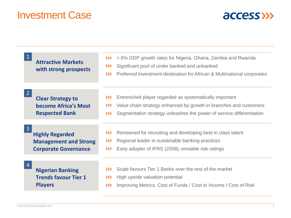### Investment Case



| <b>Attractive Markets</b><br>with strong prospects                                                      | > 6% GDP growth rates for Nigeria, Ghana, Zambia and Rwanda<br>$\gg$<br>Significant pool of under banked and unbanked<br>$\gg$<br>Preferred Investment destination for African & Multinational corporates<br>$\gg$             |
|---------------------------------------------------------------------------------------------------------|--------------------------------------------------------------------------------------------------------------------------------------------------------------------------------------------------------------------------------|
| <b>Clear Strategy to</b><br>become Africa's Most<br><b>Respected Bank</b>                               | Entrenched player regarded as systematically important<br>$\gg$<br>Value chain strategy enhanced by growth in branches and customers<br>$\gg$<br>Segmentation strategy unleashes the power of service differentiation<br>$\gg$ |
| $\overline{3}$<br><b>Highly Regarded</b><br><b>Management and Strong</b><br><b>Corporate Governance</b> | Renowned for recruiting and developing best in class talent<br>$\gg$<br>Regional leader in sustainable banking practices<br>$\gg$<br>Early adopter of IFRS (2008), enviable risk ratings<br>$\gg$                              |
| <b>Nigerian Banking</b><br><b>Trends favour Tier 1</b><br><b>Players</b>                                | Scale favours Tier 1 Banks over the rest of the market<br>$\gg$<br>High upside valuation potential<br>$\gg$<br>Improving Metrics: Cost of Funds / Cost to Income / Cost of Risk<br>$\gg$                                       |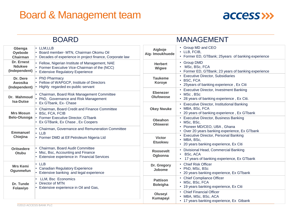### Board & Management team



| <b>BOARD</b>                                 |                                                                                                                                            | <b>MANAGEMENT</b>                   |                                                                                                                                                  |
|----------------------------------------------|--------------------------------------------------------------------------------------------------------------------------------------------|-------------------------------------|--------------------------------------------------------------------------------------------------------------------------------------------------|
| Gbenga<br>Oyebode<br>Chairman                | $\cdot$ LLM, LLB<br>· Board member- MTN, Chairman Okomu Oil<br>• Decades of experience in project finance, Corporate law                   | Aigboje<br>Aig- Imoukhuede          | • Group MD and CEO<br>• LLB, FCIB,<br>• Former ED, GTBank; 25years of banking experience                                                         |
| Dr. Ernest<br><b>Ndukwe</b><br>(Independent) | • Fellow, Nigerian Institute of Management, NAE<br>• Former Executive Vice-Chairman of the (NCC)<br><b>Extensive Regulatory Experience</b> | <b>Herbert</b><br>Wigwe             | • Group DMD<br>• MSc, BSc, FCA<br>• Former ED, GTBank; 23 years of banking experience                                                            |
| Dr. Dere<br>Awosika<br>(Independent)         | • PhD Pharmacy<br>• Fellow of WAPGCP, Institute of Directors<br>Highly regarded ex-public servant                                          | <b>Taukeme</b><br>Koroye            | • Executive Director, Subsidiaries<br>• BSC, FCA<br>• 25years of banking experience, Ex Citi                                                     |
| Dr. Mahmoud<br><b>Isa-Dutse</b>              | • Chairman, Board Risk Management Committee<br>• PhD, Governance and Risk Management<br>• Ex GTbank, Ex- Chase                             | <b>Ebenezer</b><br><b>Olufowose</b> | • Executive Director, Investment Banking<br>• MSc, BSc<br>• 28 years of banking experience, Ex Citi.                                             |
| <b>Mrs Mosun</b>                             | • Chairman, Board Credit and Finance Committee<br><b>BSc, FCA, FCIB</b>                                                                    | <b>Okey Nwuke</b>                   | • Executive Director, Institutional Banking<br>• MBA, BSc, FCA<br>• 20 years of banking experience, Ex GTbank                                    |
| <b>Belo-Olusoga</b>                          | Former Executive Director, GTbank<br>Ex GTBank, Ex Chase, Ex Coopers                                                                       | Obeahon<br><b>Ohiwerei</b>          | • Executive Director, Business Banking<br>• MSc, BSc,<br>• Pioneer MD/CEO, UBA, Ghana                                                            |
| <b>Emmanuel</b><br>Chiejina                  | • Chairman, Governance and Remuneration Committee<br>$\cdot$ LLB<br>• Former DMD at Elf Petroleum Nigeria Ltd                              | <b>Victor</b><br><b>Etuokwu</b>     | • Over 20 years banking experience, Ex GTbank<br>• Executive Director, Personal Banking<br>• MBA, BSc,<br>• 20 years banking experience, Ex Citi |
| <b>Oritsedere</b><br>Otubu                   | • Chairman, Board Audit Committee<br>Msc, Bsc, Accounting and Finance<br>Extensive experience in Financial Services                        | <b>Roosevelt</b><br>Ogbonna         | • Divisional Head, Commercial Banking<br>$\cdot$ BSc, ACA<br>• 17 years of banking experience, Ex GTbank                                         |
| <b>Mrs Kemi</b><br>Ogunmefun                 | $\cdot$ LLB<br><b>Canadian Regulatory Experience</b><br>Extensive banking and legal experience                                             | Dr. Gregory<br>Jobome               | • Chief Risk Officer<br>• PhD, MSc, BSc<br>• 20 years banking experience, Ex GTbank                                                              |
| Dr. Tunde<br>Folawiyo                        | LLM, Bsc Economics<br>Director of MTN<br>• Extensive experience in Oil and Gas,                                                            | <b>Pattison</b><br><b>Boleigha</b>  | • Chief Compliance Officer<br>• MSc, BSc, FCA<br>• 19 years banking experience, Ex Citi                                                          |
|                                              | ©2013 ACCESS BANK PLC                                                                                                                      | Oluseyi<br>Kumapayi                 | • Chief Financial Officer<br>• MBA, MSc, BSc, ACA<br>• 17 years banking experience, Ex Gtbank                                                    |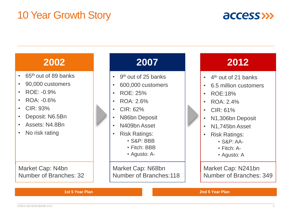### 10 Year Growth Story



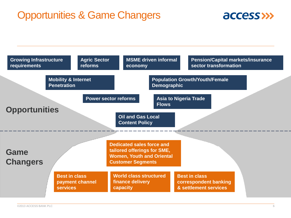### Opportunities & Game Changers



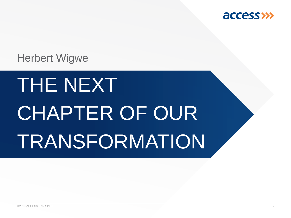

### Herbert Wigwe

## THE NEXT CHAPTER OF OUR TRANSFORMATION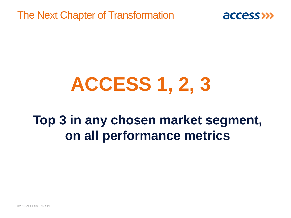The Next Chapter of Transformation



## **ACCESS 1, 2, 3**

### **Top 3 in any chosen market segment, on all performance metrics**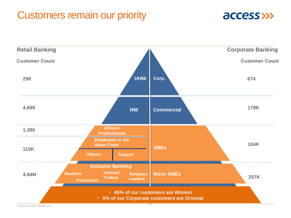### Customers remain our priority



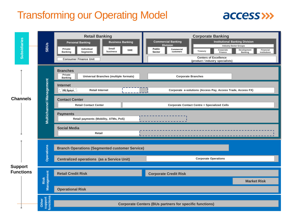### Transforming our Operating Model



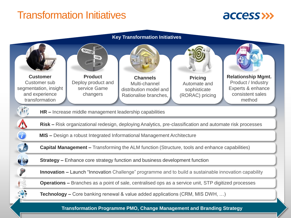### Transformation Initiatives





### ©2013 ACCESS BANK PLC 11 **Transformation Programme PMO, Change Management and Branding Strategy**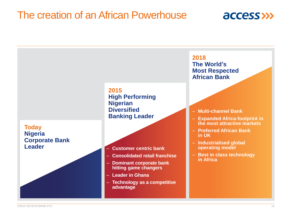### The creation of an African Powerhouse



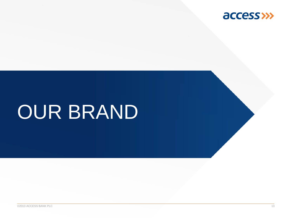

## OUR BRAND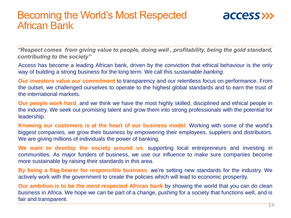### Becoming the World's Most Respected African Bank



*"Respect comes from giving value to people, doing well , profitability, being the gold standard, contributing to the society"*

Access has become a leading African bank, driven by the conviction that ethical behaviour is the only way of building a strong business for the long term. We call this *sustainable banking*.

**Our investors value our commitment** to transparency and our relentless focus on performance. From the outset, we challenged ourselves to operate to the highest global standards and to earn the trust of the international markets.

**Our people work hard**, and we think we have the most highly skilled, disciplined and ethical people in the industry. We seek out promising talent and grow them into strong professionals with the potential for leadership.

**Knowing our customers is at the heart of our business model**. Working with some of the world's biggest companies, we grow their business by empowering their employees, suppliers and distributors. We are giving millions of individuals the power of banking.

**We want to develop the society around us**, supporting local entrepreneurs and investing in communities. As major funders of business, we use our influence to make sure companies become more sustainable by raising their standards in this area.

**By being a flag-bearer for responsible business**, we're setting new standards for the industry. We actively work with the government to create the policies which will lead to economic prosperity.

**Our ambition is to be the most respected African bank** by showing the world that you can do clean business in Africa. We hope we can be part of a change, pushing for a society that functions well, and is fair and transparent.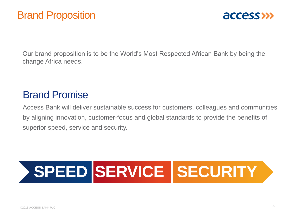

Our brand proposition is to be the World's Most Respected African Bank by being the change Africa needs.

### Brand Promise

Access Bank will deliver sustainable success for customers, colleagues and communities by aligning innovation, customer-focus and global standards to provide the benefits of superior speed, service and security.

## **SPEED SERVICE SECURITY**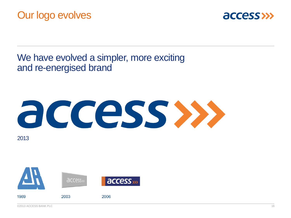

### We have evolved a simpler, more exciting and re-energised brand

# access »

2013

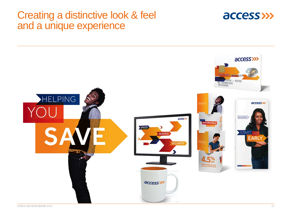### Creating a distinctive look & feel and a unique experience